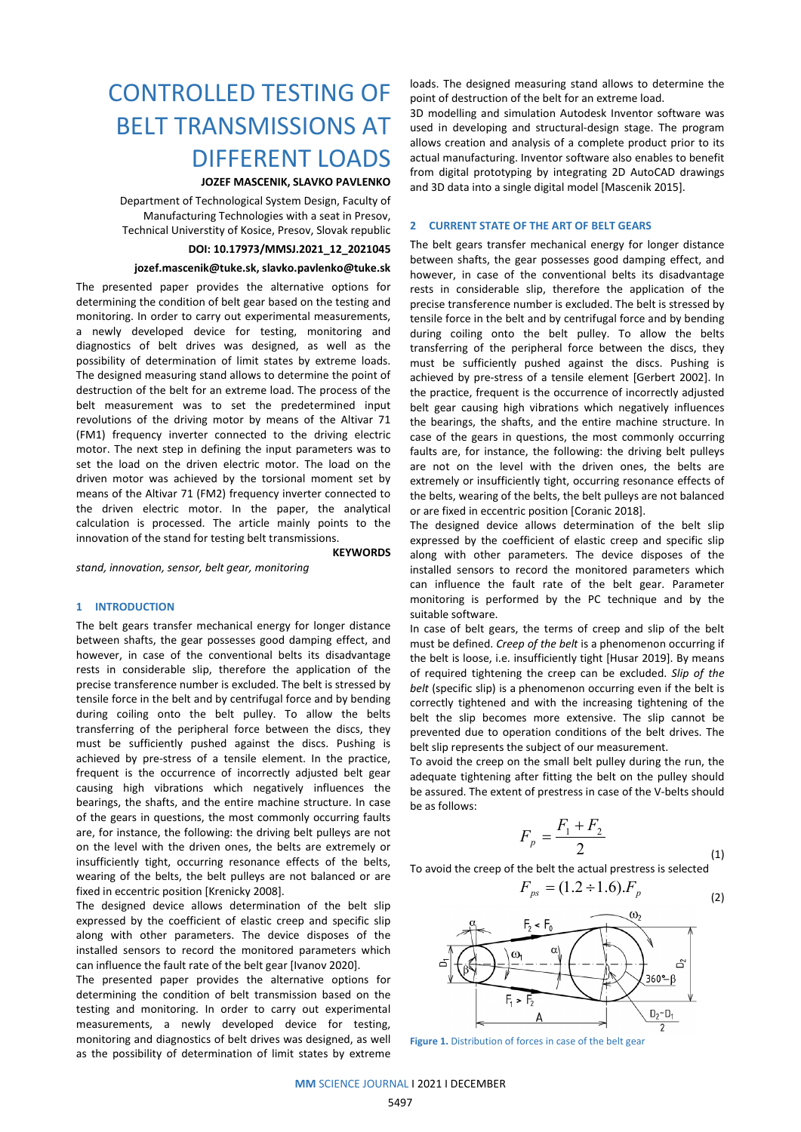# CONTROLLED TESTING OF BELT TRANSMISSIONS AT DIFFERENT LOADS

# **JOZEF MASCENIK, SLAVKO PAVLENKO**

Department of Technological System Design, Faculty of Manufacturing Technologies with a seat in Presov, Technical Universtity of Kosice, Presov, Slovak republic

#### **DOI: 10.17973/MMSJ.2021\_12\_2021045**

#### **jozef.mascenik@tuke.sk, slavko.pavlenko@tuke.sk**

The presented paper provides the alternative options for determining the condition of belt gear based on the testing and monitoring. In order to carry out experimental measurements, a newly developed device for testing, monitoring and diagnostics of belt drives was designed, as well as the possibility of determination of limit states by extreme loads. The designed measuring stand allows to determine the point of destruction of the belt for an extreme load. The process of the belt measurement was to set the predetermined input revolutions of the driving motor by means of the Altivar 71 (FM1) frequency inverter connected to the driving electric motor. The next step in defining the input parameters was to set the load on the driven electric motor. The load on the driven motor was achieved by the torsional moment set by means of the Altivar 71 (FM2) frequency inverter connected to the driven electric motor. In the paper, the analytical calculation is processed. The article mainly points to the innovation of the stand for testing belt transmissions.

**KEYWORDS**

*stand, innovation, sensor, belt gear, monitoring*

#### **1 INTRODUCTION**

The belt gears transfer mechanical energy for longer distance between shafts, the gear possesses good damping effect, and however, in case of the conventional belts its disadvantage rests in considerable slip, therefore the application of the precise transference number is excluded. The belt is stressed by tensile force in the belt and by centrifugal force and by bending during coiling onto the belt pulley. To allow the belts transferring of the peripheral force between the discs, they must be sufficiently pushed against the discs. Pushing is achieved by pre-stress of a tensile element. In the practice, frequent is the occurrence of incorrectly adjusted belt gear causing high vibrations which negatively influences the bearings, the shafts, and the entire machine structure. In case of the gears in questions, the most commonly occurring faults are, for instance, the following: the driving belt pulleys are not on the level with the driven ones, the belts are extremely or insufficiently tight, occurring resonance effects of the belts, wearing of the belts, the belt pulleys are not balanced or are fixed in eccentric position [Krenicky 2008].

The designed device allows determination of the belt slip expressed by the coefficient of elastic creep and specific slip along with other parameters. The device disposes of the installed sensors to record the monitored parameters which can influence the fault rate of the belt gear [Ivanov 2020].

The presented paper provides the alternative options for determining the condition of belt transmission based on the testing and monitoring. In order to carry out experimental measurements, a newly developed device for testing, monitoring and diagnostics of belt drives was designed, as well as the possibility of determination of limit states by extreme loads. The designed measuring stand allows to determine the point of destruction of the belt for an extreme load.

3D modelling and simulation Autodesk Inventor software was used in developing and structural-design stage. The program allows creation and analysis of a complete product prior to its actual manufacturing. Inventor software also enables to benefit from digital prototyping by integrating 2D AutoCAD drawings and 3D data into a single digital model [Mascenik 2015].

# **2 CURRENT STATE OF THE ART OF BELT GEARS**

The belt gears transfer mechanical energy for longer distance between shafts, the gear possesses good damping effect, and however, in case of the conventional belts its disadvantage rests in considerable slip, therefore the application of the precise transference number is excluded. The belt is stressed by tensile force in the belt and by centrifugal force and by bending during coiling onto the belt pulley. To allow the belts transferring of the peripheral force between the discs, they must be sufficiently pushed against the discs. Pushing is achieved by pre-stress of a tensile element [Gerbert 2002]. In the practice, frequent is the occurrence of incorrectly adjusted belt gear causing high vibrations which negatively influences the bearings, the shafts, and the entire machine structure. In case of the gears in questions, the most commonly occurring faults are, for instance, the following: the driving belt pulleys are not on the level with the driven ones, the belts are extremely or insufficiently tight, occurring resonance effects of the belts, wearing of the belts, the belt pulleys are not balanced or are fixed in eccentric position [Coranic 2018].

The designed device allows determination of the belt slip expressed by the coefficient of elastic creep and specific slip along with other parameters. The device disposes of the installed sensors to record the monitored parameters which can influence the fault rate of the belt gear. Parameter monitoring is performed by the PC technique and by the suitable software.

In case of belt gears, the terms of creep and slip of the belt must be defined. *Creep of the belt* is a phenomenon occurring if the belt is loose, i.e. insufficiently tight [Husar 2019]. By means of required tightening the creep can be excluded. *Slip of the belt* (specific slip) is a phenomenon occurring even if the belt is correctly tightened and with the increasing tightening of the belt the slip becomes more extensive. The slip cannot be prevented due to operation conditions of the belt drives. The belt slip represents the subject of our measurement.

To avoid the creep on the small belt pulley during the run, the adequate tightening after fitting the belt on the pulley should be assured. The extent of prestress in case of the V-belts should be as follows:

$$
F_p = \frac{F_1 + F_2}{2}
$$

To avoid the creep of the belt the actual prestress is selected

(1)



**Figure 1.** Distribution of forces in case of the belt gear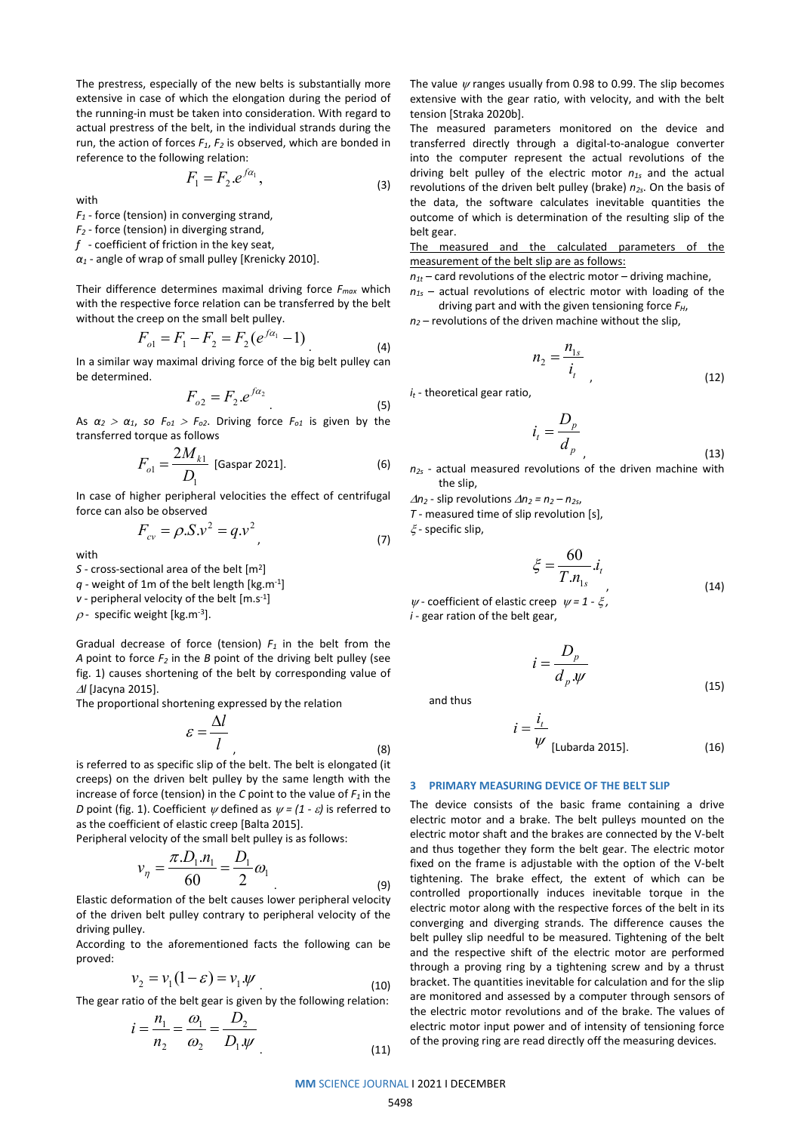The prestress, especially of the new belts is substantially more extensive in case of which the elongation during the period of the running-in must be taken into consideration. With regard to actual prestress of the belt, in the individual strands during the run, the action of forces  $F_1$ ,  $F_2$  is observed, which are bonded in reference to the following relation:

$$
F_1 = F_2 \cdot e^{f\alpha_1},\tag{3}
$$

with

*F1* - force (tension) in converging strand,

*F2* - force (tension) in diverging strand,

*f* - coefficient of friction in the key seat,

*α<sup>1</sup>* - angle of wrap of small pulley [Krenicky 2010].

Their difference determines maximal driving force *Fmax* which with the respective force relation can be transferred by the belt without the creep on the small belt pulley.

$$
F_{o1} = F_1 - F_2 = F_2(e^{f\alpha_1} - 1)
$$
\n(4)

In a similar way maximal driving force of the big belt pulley can be determined.

$$
F_{o2} = F_2 \cdot e^{f\alpha_2} \tag{5}
$$

As  $\alpha_2 > \alpha_1$ , so  $F_{o1} > F_{o2}$ . Driving force  $F_{o1}$  is given by the transferred torque as follows

$$
F_{o1} = \frac{2M_{k1}}{D_1}
$$
 [Gaspar 2021]. (6)

In case of higher peripheral velocities the effect of centrifugal force can also be observed

$$
F_{cv} = \rho \cdot S \cdot v^2 = q \cdot v^2 \tag{7}
$$

with

*S* - cross-sectional area of the belt [m2]

*q* - weight of 1m of the belt length [kg.m-1]

*v* - peripheral velocity of the belt [m.s<sup>-1</sup>]

 $\rho$  - specific weight [kg.m<sup>-3</sup>].

Gradual decrease of force (tension)  $F_1$  in the belt from the *A* point to force  $F_2$  in the *B* point of the driving belt pulley (see fig. 1) causes shortening of the belt by corresponding value of <sup>∆</sup>*l* [Jacyna 2015].

The proportional shortening expressed by the relation

$$
\varepsilon = \frac{\Delta l}{l} \tag{8}
$$

is referred to as specific slip of the belt. The belt is elongated (it creeps) on the driven belt pulley by the same length with the increase of force (tension) in the  $C$  point to the value of  $F_1$  in the *D* point (fig. 1). Coefficient  $\psi$  defined as  $\psi = (1 - \varepsilon)$  is referred to as the coefficient of elastic creep [Balta 2015].

Peripheral velocity of the small belt pulley is as follows:

$$
v_{\eta} = \frac{\pi . D_1 . n_1}{60} = \frac{D_1}{2} \omega_1 \tag{9}
$$

Elastic deformation of the belt causes lower peripheral velocity of the driven belt pulley contrary to peripheral velocity of the driving pulley.

According to the aforementioned facts the following can be proved:

$$
\nu_2 = \nu_1 (1 - \varepsilon) = \nu_1 \cdot \psi \tag{10}
$$

The gear ratio of the belt gear is given by the following relation:

$$
i = \frac{n_1}{n_2} = \frac{\omega_1}{\omega_2} = \frac{D_2}{D_1 \cdot \psi}
$$
\n(11)

The value  $\psi$  ranges usually from 0.98 to 0.99. The slip becomes extensive with the gear ratio, with velocity, and with the belt tension [Straka 2020b].

The measured parameters monitored on the device and transferred directly through a digital-to-analogue converter into the computer represent the actual revolutions of the driving belt pulley of the electric motor *n1s* and the actual revolutions of the driven belt pulley (brake)  $n_{2s}$ . On the basis of the data, the software calculates inevitable quantities the outcome of which is determination of the resulting slip of the belt gear.

The measured and the calculated parameters of the measurement of the belt slip are as follows:

 $n_{1t}$  – card revolutions of the electric motor – driving machine,

- *n1s* actual revolutions of electric motor with loading of the driving part and with the given tensioning force *FH*,
- $n<sub>2</sub>$  revolutions of the driven machine without the slip,

$$
n_2 = \frac{n_{1s}}{i_t} \tag{12}
$$

*it* - theoretical gear ratio,

$$
i_t = \frac{D_p}{d_p} \tag{13}
$$

*n2s* - actual measured revolutions of the driven machine with the slip,

*D*

<sup>∆</sup>*n2* - slip revolutions <sup>∆</sup>*n2 = n2 – n2s*,

*T* - measured time of slip revolution [s],

ξ - specific slip,

$$
\xi = \frac{60}{T.n_{\text{ls}}} i_{\text{r}}
$$
\n(14)

<sup>ψ</sup> - coefficient of elastic creep <sup>ψ</sup> *= 1 -* ξ *, i* - gear ration of the belt gear,

$$
i = \frac{D_p}{d_p \cdot \psi}
$$

and thus

$$
i = \frac{i_t}{\psi}
$$
 [Lubarda 2015]. (16)

(15)

#### **3 PRIMARY MEASURING DEVICE OF THE BELT SLIP**

The device consists of the basic frame containing a drive electric motor and a brake. The belt pulleys mounted on the electric motor shaft and the brakes are connected by the V-belt and thus together they form the belt gear. The electric motor fixed on the frame is adjustable with the option of the V-belt tightening. The brake effect, the extent of which can be controlled proportionally induces inevitable torque in the electric motor along with the respective forces of the belt in its converging and diverging strands. The difference causes the belt pulley slip needful to be measured. Tightening of the belt and the respective shift of the electric motor are performed through a proving ring by a tightening screw and by a thrust bracket. The quantities inevitable for calculation and for the slip are monitored and assessed by a computer through sensors of the electric motor revolutions and of the brake. The values of electric motor input power and of intensity of tensioning force of the proving ring are read directly off the measuring devices.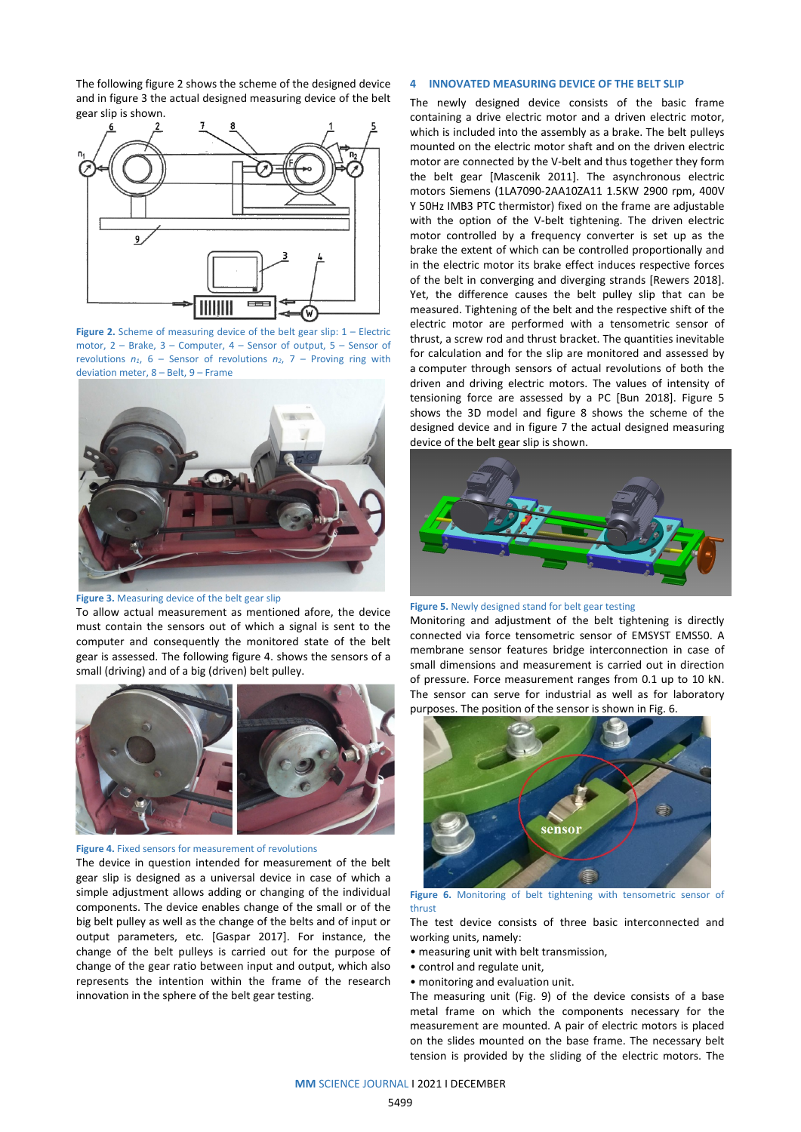The following figure 2 shows the scheme of the designed device and in figure 3 the actual designed measuring device of the belt gear slip is shown.



Figure 2. Scheme of measuring device of the belt gear slip: 1 – Electric motor, 2 – Brake, 3 – Computer, 4 – Sensor of output, 5 – Sensor of revolutions  $n_1$ , 6 – Sensor of revolutions  $n_2$ , 7 – Proving ring with deviation meter, 8 – Belt, 9 – Frame



#### **Figure 3.** Measuring device of the belt gear slip

To allow actual measurement as mentioned afore, the device must contain the sensors out of which a signal is sent to the computer and consequently the monitored state of the belt gear is assessed. The following figure 4. shows the sensors of a small (driving) and of a big (driven) belt pulley.



#### **Figure 4.** Fixed sensors for measurement of revolutions

The device in question intended for measurement of the belt gear slip is designed as a universal device in case of which a simple adjustment allows adding or changing of the individual components. The device enables change of the small or of the big belt pulley as well as the change of the belts and of input or output parameters, etc. [Gaspar 2017]. For instance, the change of the belt pulleys is carried out for the purpose of change of the gear ratio between input and output, which also represents the intention within the frame of the research innovation in the sphere of the belt gear testing.

# **4 INNOVATED MEASURING DEVICE OF THE BELT SLIP**

The newly designed device consists of the basic frame containing a drive electric motor and a driven electric motor, which is included into the assembly as a brake. The belt pulleys mounted on the electric motor shaft and on the driven electric motor are connected by the V-belt and thus together they form the belt gear [Mascenik 2011]. The asynchronous electric motors Siemens (1LA7090-2AA10ZA11 1.5KW 2900 rpm, 400V Y 50Hz IMB3 PTC thermistor) fixed on the frame are adjustable with the option of the V-belt tightening. The driven electric motor controlled by a frequency converter is set up as the brake the extent of which can be controlled proportionally and in the electric motor its brake effect induces respective forces of the belt in converging and diverging strands [Rewers 2018]. Yet, the difference causes the belt pulley slip that can be measured. Tightening of the belt and the respective shift of the electric motor are performed with a tensometric sensor of thrust, a screw rod and thrust bracket. The quantities inevitable for calculation and for the slip are monitored and assessed by a computer through sensors of actual revolutions of both the driven and driving electric motors. The values of intensity of tensioning force are assessed by a PC [Bun 2018]. Figure 5 shows the 3D model and figure 8 shows the scheme of the designed device and in figure 7 the actual designed measuring device of the belt gear slip is shown.



**Figure 5.** Newly designed stand for belt gear testing

Monitoring and adjustment of the belt tightening is directly connected via force tensometric sensor of EMSYST EMS50. A membrane sensor features bridge interconnection in case of small dimensions and measurement is carried out in direction of pressure. Force measurement ranges from 0.1 up to 10 kN. The sensor can serve for industrial as well as for laboratory purposes. The position of the sensor is shown in Fig. 6.



#### **Figure 6.** Monitoring of belt tightening with tensometric sensor of thrust

The test device consists of three basic interconnected and working units, namely:

- measuring unit with belt transmission,
- control and regulate unit,
- monitoring and evaluation unit.

The measuring unit (Fig. 9) of the device consists of a base metal frame on which the components necessary for the measurement are mounted. A pair of electric motors is placed on the slides mounted on the base frame. The necessary belt tension is provided by the sliding of the electric motors. The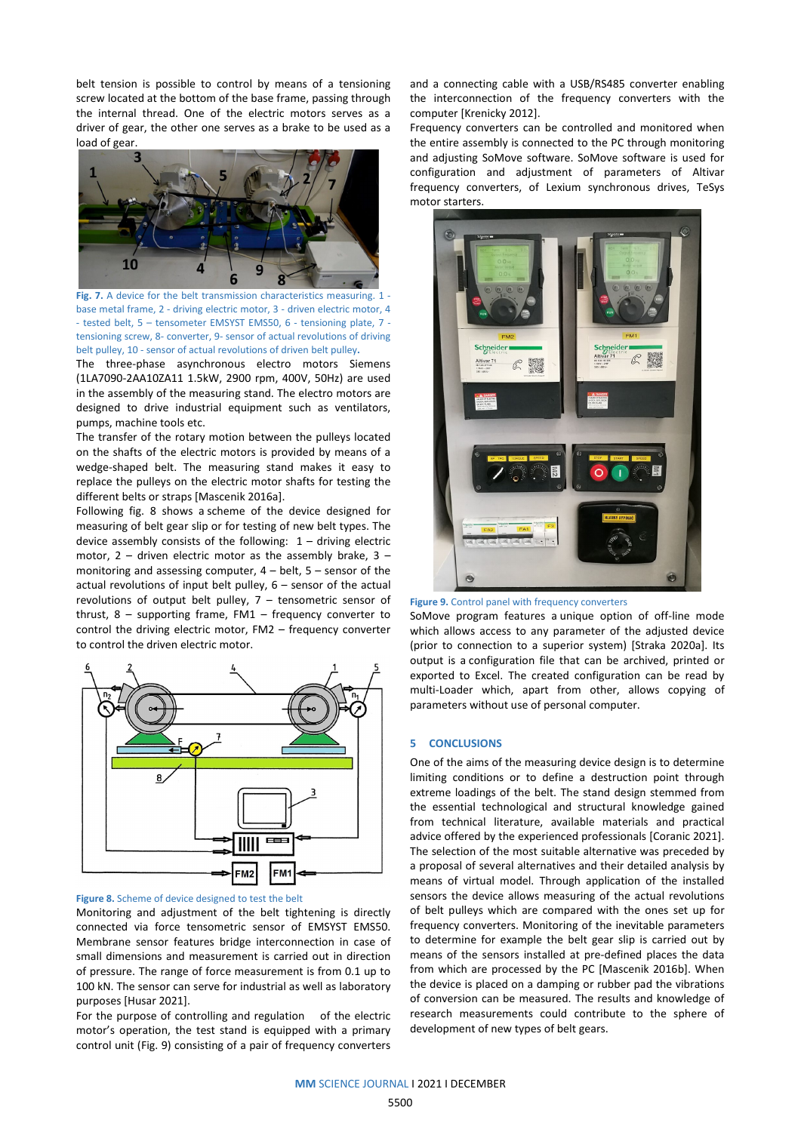belt tension is possible to control by means of a tensioning screw located at the bottom of the base frame, passing through the internal thread. One of the electric motors serves as a driver of gear, the other one serves as a brake to be used as a load of gear.



**Fig. 7.** A device for the belt transmission characteristics measuring. 1 base metal frame, 2 - driving electric motor, 3 - driven electric motor, 4 - tested belt, 5 – tensometer EMSYST EMS50, 6 - tensioning plate, 7 tensioning screw, 8- converter, 9- sensor of actual revolutions of driving belt pulley, 10 - sensor of actual revolutions of driven belt pulley**.**

The three-phase asynchronous electro motors Siemens (1LA7090-2AA10ZA11 1.5kW, 2900 rpm, 400V, 50Hz) are used in the assembly of the measuring stand. The electro motors are designed to drive industrial equipment such as ventilators, pumps, machine tools etc.

The transfer of the rotary motion between the pulleys located on the shafts of the electric motors is provided by means of a wedge-shaped belt. The measuring stand makes it easy to replace the pulleys on the electric motor shafts for testing the different belts or straps [Mascenik 2016a].

Following fig. 8 shows a scheme of the device designed for measuring of belt gear slip or for testing of new belt types. The device assembly consists of the following:  $1 -$  driving electric motor,  $2$  – driven electric motor as the assembly brake,  $3$  – monitoring and assessing computer,  $4 - \text{belt}$ ,  $5 - \text{sensor}$  of the actual revolutions of input belt pulley, 6 – sensor of the actual revolutions of output belt pulley, 7 – tensometric sensor of thrust,  $8 -$  supporting frame, FM1 – frequency converter to control the driving electric motor, FM2 – frequency converter to control the driven electric motor.



# **Figure 8.** Scheme of device designed to test the belt

Monitoring and adjustment of the belt tightening is directly connected via force tensometric sensor of EMSYST EMS50. Membrane sensor features bridge interconnection in case of small dimensions and measurement is carried out in direction of pressure. The range of force measurement is from 0.1 up to 100 kN. The sensor can serve for industrial as well as laboratory purposes [Husar 2021].

For the purpose of controlling and regulation of the electric motor's operation, the test stand is equipped with a primary control unit (Fig. 9) consisting of a pair of frequency converters and a connecting cable with a USB/RS485 converter enabling the interconnection of the frequency converters with the computer [Krenicky 2012].

Frequency converters can be controlled and monitored when the entire assembly is connected to the PC through monitoring and adjusting SoMove software. SoMove software is used for configuration and adjustment of parameters of Altivar frequency converters, of Lexium synchronous drives, TeSys motor starters.





SoMove program features a unique option of off-line mode which allows access to any parameter of the adjusted device (prior to connection to a superior system) [Straka 2020a]. Its output is a configuration file that can be archived, printed or exported to Excel. The created configuration can be read by multi-Loader which, apart from other, allows copying of parameters without use of personal computer.

## **5 CONCLUSIONS**

One of the aims of the measuring device design is to determine limiting conditions or to define a destruction point through extreme loadings of the belt. The stand design stemmed from the essential technological and structural knowledge gained from technical literature, available materials and practical advice offered by the experienced professionals [Coranic 2021]. The selection of the most suitable alternative was preceded by a proposal of several alternatives and their detailed analysis by means of virtual model. Through application of the installed sensors the device allows measuring of the actual revolutions of belt pulleys which are compared with the ones set up for frequency converters. Monitoring of the inevitable parameters to determine for example the belt gear slip is carried out by means of the sensors installed at pre-defined places the data from which are processed by the PC [Mascenik 2016b]. When the device is placed on a damping or rubber pad the vibrations of conversion can be measured. The results and knowledge of research measurements could contribute to the sphere of development of new types of belt gears.